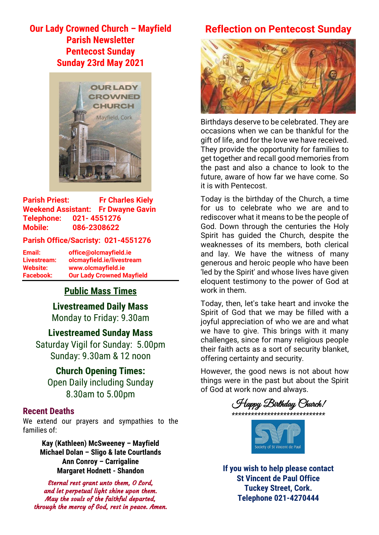# **Our Lady Crowned Church – Mayfield Parish Newsletter Pentecost Sunday Sunday 23rd May 2021**



**Parish Priest: Fr Charles Kiely Weekend Assistant: Fr Dwayne Gavin Telephone: 021- 4551276 Mobile: 086-2308622** 

#### **Parish Office/Sacristy: 021-4551276**

**Email: office@olcmayfield.ie Livestream: olcmayfield.ie/livestream Website: www.olcmayfield.ie Facebook: Our Lady Crowned Mayfield**

## **Public Mass Times**

**Livestreamed Daily Mass** Monday to Friday: 9.30am

**Livestreamed Sunday Mass** Saturday Vigil for Sunday: 5.00pm Sunday: 9.30am & 12 noon

**Church Opening Times:** Open Daily including Sunday 8.30am to 5.00pm

### **Recent Deaths**

We extend our prayers and sympathies to the families of:

> **Kay (Kathleen) McSweeney – Mayfield Michael Dolan – Sligo & late Courtlands Ann Conroy – Carrigaline Margaret Hodnett - Shandon**

Eternal rest grant unto them, O Lord, and let perpetual light shine upon them. May the souls of the faithful departed, through the mercy of God, rest in peace. Amen.

# **Reflection on Pentecost Sunday**



Birthdays deserve to be celebrated. They are occasions when we can be thankful for the gift of life, and for the love we have received. They provide the opportunity for families to get together and recall good memories from the past and also a chance to look to the future, aware of how far we have come. So it is with Pentecost.

Today is the birthday of the Church, a time for us to celebrate who we are and to rediscover what it means to be the people of God. Down through the centuries the Holy Spirit has guided the Church, despite the weaknesses of its members, both clerical and lay. We have the witness of many generous and heroic people who have been 'led by the Spirit' and whose lives have given eloquent testimony to the power of God at work in them.

Today, then, let's take heart and invoke the Spirit of God that we may be filled with a joyful appreciation of who we are and what we have to give. This brings with it many challenges, since for many religious people their faith acts as a sort of security blanket, offering certainty and security.

However, the good news is not about how things were in the past but about the Spirit of God at work now and always.





**If you wish to help please contact St Vincent de Paul Office Tuckey Street, Cork. Telephone 021-4270444**